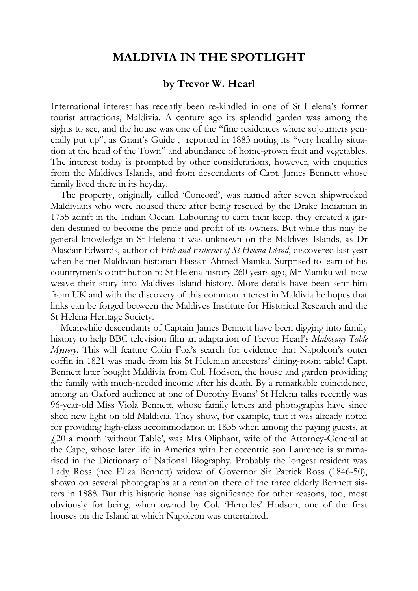## **MALDIVIA IN THE SPOTLIGHT**

## **by Trevor W. Hearl**

International interest has recently been re-kindled in one of St Helena's former tourist attractions, Maldivia. A century ago its splendid garden was among the sights to see, and the house was one of the "fine residences where sojourners generally put up", as Grant's Guide , reported in 1883 noting its "very healthy situation at the head of the Town" and abundance of home-grown fruit and vegetables. The interest today is prompted by other considerations, however, with enquiries from the Maldives Islands, and from descendants of Capt. James Bennett whose family lived there in its heyday.

The property, originally called 'Concord', was named after seven shipwrecked Maldivians who were housed there after being rescued by the Drake Indiaman in 1735 adrift in the Indian Ocean. Labouring to earn their keep, they created a garden destined to become the pride and profit of its owners. But while this may be general knowledge in St Helena it was unknown on the Maldives Islands, as Dr Alasdair Edwards, author of *Fish and Fisheries of St Helena Island*, discovered last year when he met Maldivian historian Hassan Ahmed Maniku. Surprised to learn of his countrymen's contribution to St Helena history 260 years ago, Mr Maniku will now weave their story into Maldives Island history. More details have been sent him from UK and with the discovery of this common interest in Maldivia he hopes that links can be forged between the Maldives Institute for Historical Research and the St Helena Heritage Society.

Meanwhile descendants of Captain James Bennett have been digging into family history to help BBC television film an adaptation of Trevor Hearl's *Mahogany Table Mystery*. This will feature Colin Fox's search for evidence that Napoleon's outer coffin in 1821 was made from his St Helenian ancestors' dining-room table! Capt. Bennett later bought Maldivia from Col. Hodson, the house and garden providing the family with much-needed income after his death. By a remarkable coincidence, among an Oxford audience at one of Dorothy Evans' St Helena talks recently was 96-year-old Miss Viola Bennett, whose family letters and photographs have since shed new light on old Maldivia. They show, for example, that it was already noted for providing high-class accommodation in 1835 when among the paying guests, at £20 a month 'without Table', was Mrs Oliphant, wife of the Attorney-General at the Cape, whose later life in America with her eccentric son Laurence is summarised in the Dictionary of National Biography. Probably the longest resident was Lady Ross (nee Eliza Bennett) widow of Governor Sir Patrick Ross (1846-50), shown on several photographs at a reunion there of the three elderly Bennett sisters in 1888. But this historic house has significance for other reasons, too, most obviously for being, when owned by Col. 'Hercules' Hodson, one of the first houses on the Island at which Napoleon was entertained.